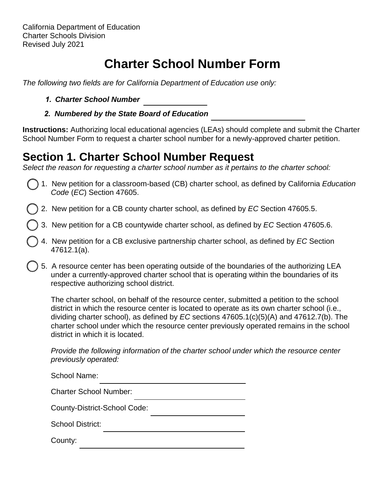# **Charter School Number Form**

*The following two fields are for California Department of Education use only:*

- *1. Charter School Number*
- *2. Numbered by the State Board of Education*

**Instructions:** Authorizing local educational agencies (LEAs) should complete and submit the Charter School Number Form to request a charter school number for a newly-approved charter petition.

## **Section 1. Charter School Number Request**

*Select the reason for requesting a charter school number as it pertains to the charter school:*

- 1. New petition for a classroom-based (CB) charter school, as defined by California *Education Code* (*EC*) Section 47605.
- 2. New petition for a CB county charter school, as defined by *EC* Section 47605.5.
- 3. New petition for a CB countywide charter school, as defined by *EC* Section 47605.6.
- 4. New petition for a CB exclusive partnership charter school, as defined by *EC* Section 47612.1(a).
- 5. A resource center has been operating outside of the boundaries of the authorizing LEA under a currently-approved charter school that is operating within the boundaries of its respective authorizing school district.

The charter school, on behalf of the resource center, submitted a petition to the school district in which the resource center is located to operate as its own charter school (i.e., dividing charter school), as defined by *EC* sections 47605.1(c)(5)(A) and 47612.7(b). The charter school under which the resource center previously operated remains in the school district in which it is located.

*Provide the following information of the charter school under which the resource center previously operated:*

| School Name:                        |
|-------------------------------------|
| <b>Charter School Number:</b>       |
| <b>County-District-School Code:</b> |
| <b>School District:</b>             |
| County:                             |
|                                     |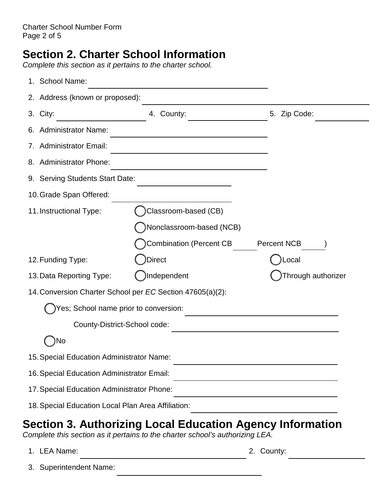## **Section 2. Charter School Information**

*Complete this section as it pertains to the charter school.*

| 1. School Name:                                    |                                                           |                    |
|----------------------------------------------------|-----------------------------------------------------------|--------------------|
| 2. Address (known or proposed):                    |                                                           |                    |
| 3. City:                                           | 4. County:                                                | 5. Zip Code:       |
| 6. Administrator Name:                             |                                                           |                    |
| 7. Administrator Email:                            |                                                           |                    |
| 8. Administrator Phone:                            |                                                           |                    |
| 9. Serving Students Start Date:                    |                                                           |                    |
| 10. Grade Span Offered:                            |                                                           |                    |
| 11. Instructional Type:                            | Classroom-based (CB)                                      |                    |
|                                                    | Nonclassroom-based (NCB)                                  |                    |
|                                                    | <b>Combination (Percent CB</b>                            | <b>Percent NCB</b> |
| 12. Funding Type:                                  | <b>Direct</b>                                             | Local              |
| 13. Data Reporting Type:                           | Independent                                               | Through authorizer |
|                                                    | 14. Conversion Charter School per EC Section 47605(a)(2): |                    |
| Yes; School name prior to conversion:              |                                                           |                    |
| County-District-School code:                       |                                                           |                    |
| )No                                                |                                                           |                    |
| 15. Special Education Administrator Name:          |                                                           |                    |
| 16. Special Education Administrator Email:         |                                                           |                    |
| 17. Special Education Administrator Phone:         |                                                           |                    |
| 18. Special Education Local Plan Area Affiliation: |                                                           |                    |

## **Section 3. Authorizing Local Education Agency Information**

*Complete this section as it pertains to the charter school's authorizing LEA.*

- 1. LEA Name: 2. County:
- 

3. Superintendent Name: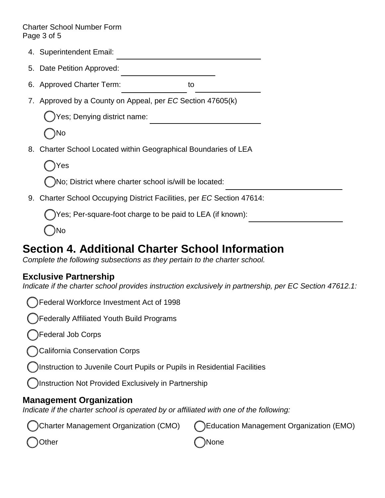#### Charter School Number Form Page 3 of 5

- 4. Superintendent Email:
- 5. Date Petition Approved:
- 6. Approved Charter Term: to
- 7. Approved by a County on Appeal, per *EC* Section 47605(k)

Yes; Denying district name:

No

8. Charter School Located within Geographical Boundaries of LEA

Yes

No; District where charter school is/will be located:

9. Charter School Occupying District Facilities, per *EC* Section 47614:

Yes; Per-square-foot charge to be paid to LEA (if known):

No

## **Section 4. Additional Charter School Information**

*Complete the following subsections as they pertain to the charter school.* 

### **Exclusive Partnership**

*Indicate if the charter school provides instruction exclusively in partnership, per EC Section 47612.1:* 

Federal Workforce Investment Act of 1998

Federally Affiliated Youth Build Programs

Federal Job Corps

California Conservation Corps

Instruction to Juvenile Court Pupils or Pupils in Residential Facilities

Instruction Not Provided Exclusively in Partnership

### **Management Organization**

*Indicate if the charter school is operated by or affiliated with one of the following:* 

| Charter Management Organization (CMO) | C Education Management Organization (EMO) |
|---------------------------------------|-------------------------------------------|
| Oother                                | ( )None                                   |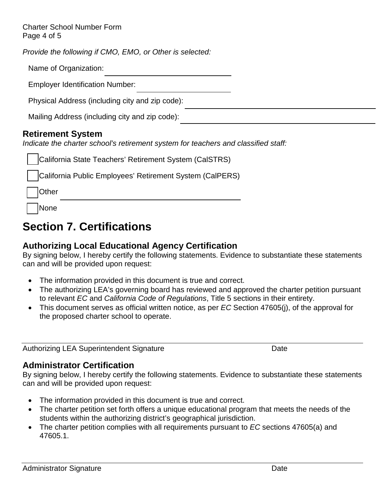Charter School Number Form Page 4 of 5

*Provide the following if CMO, EMO, or Other is selected:*

| Name of Organization: |
|-----------------------|
|-----------------------|

Employer Identification Number:

Physical Address (including city and zip code):

Mailing Address (including city and zip code):

#### **Retirement System**

*Indicate the charter school's retirement system for teachers and classified staff:* 

| California State Teachers' Retirement System (CalSTRS)   |
|----------------------------------------------------------|
| California Public Employees' Retirement System (CalPERS) |
| Other                                                    |
| None                                                     |

## **Section 7. Certifications**

### **Authorizing Local Educational Agency Certification**

By signing below, I hereby certify the following statements. Evidence to substantiate these statements can and will be provided upon request:

- The information provided in this document is true and correct.
- The authorizing LEA's governing board has reviewed and approved the charter petition pursuant to relevant *EC* and *California Code of Regulations*, Title 5 sections in their entirety.
- This document serves as official written notice, as per *EC* Section 47605(j), of the approval for the proposed charter school to operate.

Authorizing LEA Superintendent Signature **Date** Date

#### **Administrator Certification**

By signing below, I hereby certify the following statements. Evidence to substantiate these statements can and will be provided upon request:

- The information provided in this document is true and correct.
- The charter petition set forth offers a unique educational program that meets the needs of the students within the authorizing district's geographical jurisdiction.
- The charter petition complies with all requirements pursuant to *EC* sections 47605(a) and 47605.1.